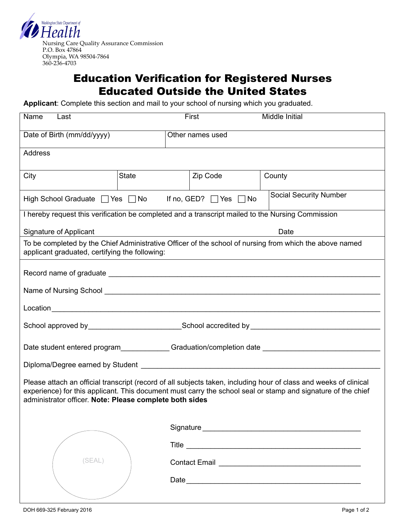

## Education Verification for Registered Nurses Educated Outside the United States

**Applicant**: Complete this section and mail to your school of nursing which you graduated.

| Name<br>Last                                                                                                                                                                                                                                                                                 |              | First            | Middle Initial |  |  |  |
|----------------------------------------------------------------------------------------------------------------------------------------------------------------------------------------------------------------------------------------------------------------------------------------------|--------------|------------------|----------------|--|--|--|
| Date of Birth (mm/dd/yyyy)                                                                                                                                                                                                                                                                   |              | Other names used |                |  |  |  |
| <b>Address</b>                                                                                                                                                                                                                                                                               |              |                  |                |  |  |  |
| City                                                                                                                                                                                                                                                                                         | <b>State</b> | Zip Code         | County         |  |  |  |
| <b>Social Security Number</b><br>High School Graduate $\Box$ Yes $\Box$ No If no, GED? $\Box$ Yes $\Box$ No                                                                                                                                                                                  |              |                  |                |  |  |  |
| I hereby request this verification be completed and a transcript mailed to the Nursing Commission                                                                                                                                                                                            |              |                  |                |  |  |  |
| Date<br>Signature of Applicant                                                                                                                                                                                                                                                               |              |                  |                |  |  |  |
| To be completed by the Chief Administrative Officer of the school of nursing from which the above named<br>applicant graduated, certifying the following:                                                                                                                                    |              |                  |                |  |  |  |
|                                                                                                                                                                                                                                                                                              |              |                  |                |  |  |  |
| Name of Nursing School <b>Name of Nursing School</b>                                                                                                                                                                                                                                         |              |                  |                |  |  |  |
|                                                                                                                                                                                                                                                                                              |              |                  |                |  |  |  |
|                                                                                                                                                                                                                                                                                              |              |                  |                |  |  |  |
|                                                                                                                                                                                                                                                                                              |              |                  |                |  |  |  |
|                                                                                                                                                                                                                                                                                              |              |                  |                |  |  |  |
| Please attach an official transcript (record of all subjects taken, including hour of class and weeks of clinical<br>experience) for this applicant. This document must carry the school seal or stamp and signature of the chief<br>administrator officer. Note: Please complete both sides |              |                  |                |  |  |  |
|                                                                                                                                                                                                                                                                                              |              |                  |                |  |  |  |
|                                                                                                                                                                                                                                                                                              |              |                  |                |  |  |  |
| (SEAL)                                                                                                                                                                                                                                                                                       |              |                  |                |  |  |  |
|                                                                                                                                                                                                                                                                                              |              |                  |                |  |  |  |